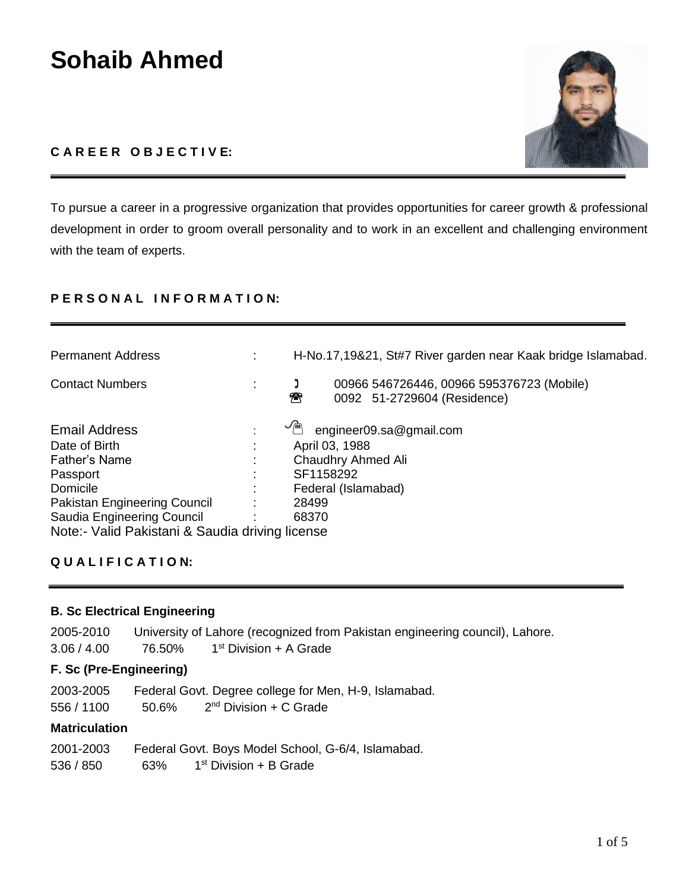# **Sohaib Ahmed**

# **C A R E E R O B J E C T I V E:**

To pursue a career in a progressive organization that provides opportunities for career growth & professional development in order to groom overall personality and to work in an excellent and challenging environment with the team of experts.

# **P E R S O N A L I N F O R M A T I O N:**

| <b>Permanent Address</b>                        | H-No.17,19&21, St#7 River garden near Kaak bridge Islamabad.                                           |
|-------------------------------------------------|--------------------------------------------------------------------------------------------------------|
| <b>Contact Numbers</b>                          | 00966 546726446, 00966 595376723 (Mobile)<br>$\boldsymbol{\widehat{x}}$<br>0092 51-2729604 (Residence) |
| <b>Email Address</b>                            | $\sim$<br>engineer09.sa@gmail.com                                                                      |
| Date of Birth                                   | April 03, 1988                                                                                         |
| Father's Name                                   | Chaudhry Ahmed Ali                                                                                     |
| Passport                                        | SF1158292                                                                                              |
| Domicile                                        | Federal (Islamabad)                                                                                    |
| Pakistan Engineering Council                    | 28499                                                                                                  |
| Saudia Engineering Council                      | 68370                                                                                                  |
| Note:- Valid Pakistani & Saudia driving license |                                                                                                        |

# **Q U A L I F I C A T I O N:**

#### **B. Sc Electrical Engineering**

2005-2010 University of Lahore (recognized from Pakistan engineering council), Lahore.  $3.06 / 4.00$  76.50% 1<sup>st</sup> Division + A Grade

## **F. Sc (Pre-Engineering)**

2003-2005 Federal Govt. Degree college for Men, H-9, Islamabad.

556 / 1100 50.6% 2  $2<sup>nd</sup> Division + C Grade$ 

## **Matriculation**

| 2001-2003 |     | Federal Govt. Boys Model School, G-6/4, Islamabad. |
|-----------|-----|----------------------------------------------------|
| 536 / 850 | 63% | 1 <sup>st</sup> Division + B Grade                 |

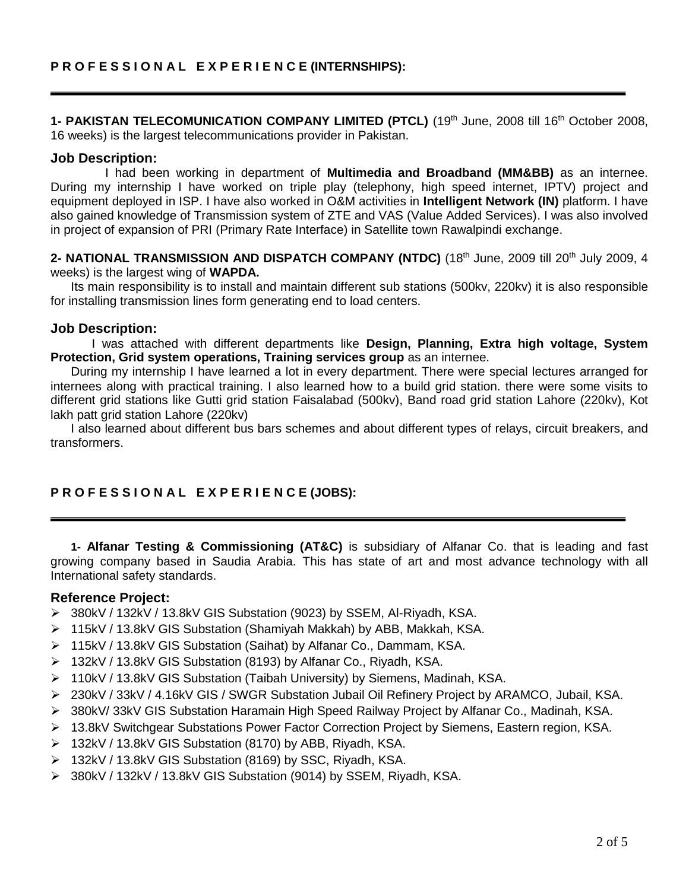1- PAKISTAN TELECOMUNICATION COMPANY LIMITED (PTCL) (19<sup>th</sup> June, 2008 till 16<sup>th</sup> October 2008, 16 weeks) is the largest telecommunications provider in Pakistan.

#### **Job Description:**

I had been working in department of **Multimedia and Broadband (MM&BB)** as an internee. During my internship I have worked on triple play (telephony, high speed internet, IPTV) project and equipment deployed in ISP. I have also worked in O&M activities in **Intelligent Network (IN)** platform. I have also gained knowledge of Transmission system of ZTE and VAS (Value Added Services). I was also involved in project of expansion of PRI (Primary Rate Interface) in Satellite town Rawalpindi exchange.

**2- NATIONAL TRANSMISSION AND DISPATCH COMPANY (NTDC)** (18th June, 2009 till 20th July 2009, 4 weeks) is the largest wing of **WAPDA.** 

Its main responsibility is to install and maintain different sub stations (500kv, 220kv) it is also responsible for installing transmission lines form generating end to load centers.

#### **Job Description:**

I was attached with different departments like **Design, Planning, Extra high voltage, System Protection, Grid system operations, Training services group** as an internee.

During my internship I have learned a lot in every department. There were special lectures arranged for internees along with practical training. I also learned how to a build grid station. there were some visits to different grid stations like Gutti grid station Faisalabad (500kv), Band road grid station Lahore (220kv), Kot lakh patt grid station Lahore (220kv)

I also learned about different bus bars schemes and about different types of relays, circuit breakers, and transformers.

## **P R O F E S S I O N A L E X P E R I E N C E (JOBS):**

**1- Alfanar Testing & Commissioning (AT&C)** is subsidiary of Alfanar Co. that is leading and fast growing company based in Saudia Arabia. This has state of art and most advance technology with all International safety standards.

#### **Reference Project:**

- 380kV / 132kV / 13.8kV GIS Substation (9023) by SSEM, Al-Riyadh, KSA.
- 115kV / 13.8kV GIS Substation (Shamiyah Makkah) by ABB, Makkah, KSA.
- 115kV / 13.8kV GIS Substation (Saihat) by Alfanar Co., Dammam, KSA.
- 132kV / 13.8kV GIS Substation (8193) by Alfanar Co., Riyadh, KSA.
- 110kV / 13.8kV GIS Substation (Taibah University) by Siemens, Madinah, KSA.
- 230kV / 33kV / 4.16kV GIS / SWGR Substation Jubail Oil Refinery Project by ARAMCO, Jubail, KSA.
- 380kV/ 33kV GIS Substation Haramain High Speed Railway Project by Alfanar Co., Madinah, KSA.
- 13.8kV Switchgear Substations Power Factor Correction Project by Siemens, Eastern region, KSA.
- 132kV / 13.8kV GIS Substation (8170) by ABB, Riyadh, KSA.
- 132kV / 13.8kV GIS Substation (8169) by SSC, Riyadh, KSA.
- 380kV / 132kV / 13.8kV GIS Substation (9014) by SSEM, Riyadh, KSA.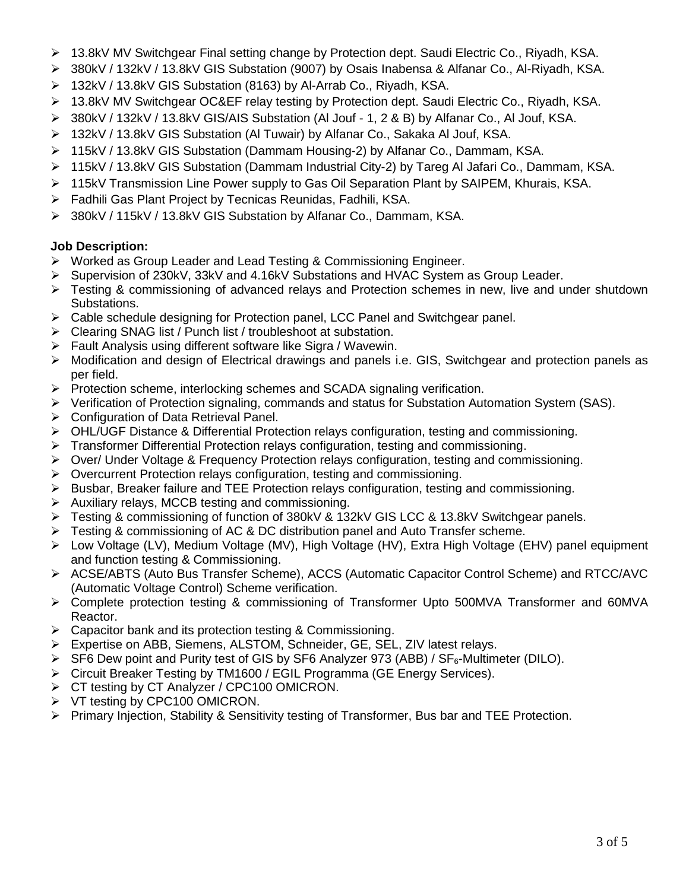- 13.8kV MV Switchgear Final setting change by Protection dept. Saudi Electric Co., Riyadh, KSA.
- 380kV / 132kV / 13.8kV GIS Substation (9007) by Osais Inabensa & Alfanar Co., Al-Riyadh, KSA.
- 132kV / 13.8kV GIS Substation (8163) by Al-Arrab Co., Riyadh, KSA.
- 13.8kV MV Switchgear OC&EF relay testing by Protection dept. Saudi Electric Co., Riyadh, KSA.
- 380kV / 132kV / 13.8kV GIS/AIS Substation (Al Jouf 1, 2 & B) by Alfanar Co., Al Jouf, KSA.
- 132kV / 13.8kV GIS Substation (Al Tuwair) by Alfanar Co., Sakaka Al Jouf, KSA.
- 115kV / 13.8kV GIS Substation (Dammam Housing-2) by Alfanar Co., Dammam, KSA.
- 115kV / 13.8kV GIS Substation (Dammam Industrial City-2) by Tareg Al Jafari Co., Dammam, KSA.
- 115kV Transmission Line Power supply to Gas Oil Separation Plant by SAIPEM, Khurais, KSA.
- Fadhili Gas Plant Project by Tecnicas Reunidas, Fadhili, KSA.
- 380kV / 115kV / 13.8kV GIS Substation by Alfanar Co., Dammam, KSA.

# **Job Description:**

- Worked as Group Leader and Lead Testing & Commissioning Engineer.
- Supervision of 230kV, 33kV and 4.16kV Substations and HVAC System as Group Leader.
- $\triangleright$  Testing & commissioning of advanced relays and Protection schemes in new, live and under shutdown Substations.
- Cable schedule designing for Protection panel, LCC Panel and Switchgear panel.
- $\triangleright$  Clearing SNAG list / Punch list / troubleshoot at substation.
- $\triangleright$  Fault Analysis using different software like Sigra / Wavewin.
- Modification and design of Electrical drawings and panels i.e. GIS, Switchgear and protection panels as per field.
- $\triangleright$  Protection scheme, interlocking schemes and SCADA signaling verification.
- $\triangleright$  Verification of Protection signaling, commands and status for Substation Automation System (SAS).
- Configuration of Data Retrieval Panel.
- OHL/UGF Distance & Differential Protection relays configuration, testing and commissioning.
- $\triangleright$  Transformer Differential Protection relays configuration, testing and commissioning.
- Over/ Under Voltage & Frequency Protection relays configuration, testing and commissioning.
- $\triangleright$  Overcurrent Protection relays configuration, testing and commissioning.
- $\triangleright$  Busbar, Breaker failure and TEE Protection relays configuration, testing and commissioning.
- $\triangleright$  Auxiliary relays, MCCB testing and commissioning.
- > Testing & commissioning of function of 380kV & 132kV GIS LCC & 13.8kV Switchgear panels.
- $\triangleright$  Testing & commissioning of AC & DC distribution panel and Auto Transfer scheme.
- Low Voltage (LV), Medium Voltage (MV), High Voltage (HV), Extra High Voltage (EHV) panel equipment and function testing & Commissioning.
- ACSE/ABTS (Auto Bus Transfer Scheme), ACCS (Automatic Capacitor Control Scheme) and RTCC/AVC (Automatic Voltage Control) Scheme verification.
- Complete protection testing & commissioning of Transformer Upto 500MVA Transformer and 60MVA Reactor.
- $\triangleright$  Capacitor bank and its protection testing & Commissioning.
- Expertise on ABB, Siemens, ALSTOM, Schneider, GE, SEL, ZIV latest relays.
- $\triangleright$  SF6 Dew point and Purity test of GIS by SF6 Analyzer 973 (ABB) / SF<sub>6</sub>-Multimeter (DILO).
- ▶ Circuit Breaker Testing by TM1600 / EGIL Programma (GE Energy Services).
- ▶ CT testing by CT Analyzer / CPC100 OMICRON.
- $\triangleright$  VT testing by CPC100 OMICRON.
- Primary Injection, Stability & Sensitivity testing of Transformer, Bus bar and TEE Protection.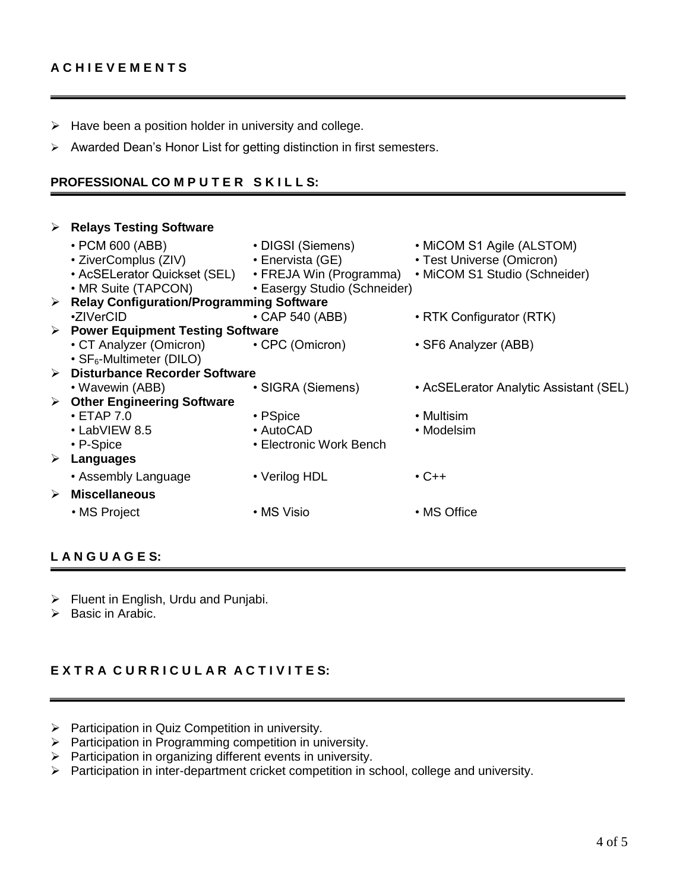- $\triangleright$  Have been a position holder in university and college.
- $\triangleright$  Awarded Dean's Honor List for getting distinction in first semesters.

## **PROFESSIONAL CO M P U T E R S K I L L S:**

|   | $\triangleright$ Relays Testing Software          |                              |                                                                                    |  |  |  |
|---|---------------------------------------------------|------------------------------|------------------------------------------------------------------------------------|--|--|--|
|   | $\cdot$ PCM 600 (ABB)                             | • DIGSI (Siemens)            | • MICOM S1 Agile (ALSTOM)                                                          |  |  |  |
|   | • ZiverComplus (ZIV)                              | • Enervista (GE)             | • Test Universe (Omicron)                                                          |  |  |  |
|   |                                                   |                              | • AcSELerator Quickset (SEL) • FREJA Win (Programma) • MiCOM S1 Studio (Schneider) |  |  |  |
|   | • MR Suite (TAPCON)                               | • Easergy Studio (Schneider) |                                                                                    |  |  |  |
|   | > Relay Configuration/Programming Software        |                              |                                                                                    |  |  |  |
|   | •ZIVerCID                                         | $\cdot$ CAP 540 (ABB)        | • RTK Configurator (RTK)                                                           |  |  |  |
|   | $\triangleright$ Power Equipment Testing Software |                              |                                                                                    |  |  |  |
|   | • CT Analyzer (Omicron) • CPC (Omicron)           |                              | • SF6 Analyzer (ABB)                                                               |  |  |  |
|   | • SF <sub>6</sub> -Multimeter (DILO)              |                              |                                                                                    |  |  |  |
|   | > Disturbance Recorder Software                   |                              |                                                                                    |  |  |  |
|   | • Wavewin (ABB)                                   | • SIGRA (Siemens)            | • AcSELerator Analytic Assistant (SEL)                                             |  |  |  |
|   | $\triangleright$ Other Engineering Software       |                              |                                                                                    |  |  |  |
|   | $\cdot$ ETAP 7.0                                  | • PSpice                     | • Multisim                                                                         |  |  |  |
|   | $\cdot$ LabVIEW 8.5                               | • AutoCAD                    | • Modelsim                                                                         |  |  |  |
|   | $\cdot$ P-Spice                                   | • Electronic Work Bench      |                                                                                    |  |  |  |
|   | $\triangleright$ Languages                        |                              |                                                                                    |  |  |  |
|   | • Assembly Language                               | • Verilog HDL                | $\cdot$ C++                                                                        |  |  |  |
| ➤ | <b>Miscellaneous</b>                              |                              |                                                                                    |  |  |  |
|   | • MS Project                                      | • MS Visio                   | • MS Office                                                                        |  |  |  |
|   |                                                   |                              |                                                                                    |  |  |  |

# **L A N G U A G E S:**

- $\triangleright$  Fluent in English, Urdu and Punjabi.
- $\triangleright$  Basic in Arabic.

# $E$  **XTRA CURRICULAR ACTIVITES:**

- $\triangleright$  Participation in Quiz Competition in university.
- $\triangleright$  Participation in Programming competition in university.
- $\triangleright$  Participation in organizing different events in university.
- Participation in inter-department cricket competition in school, college and university.